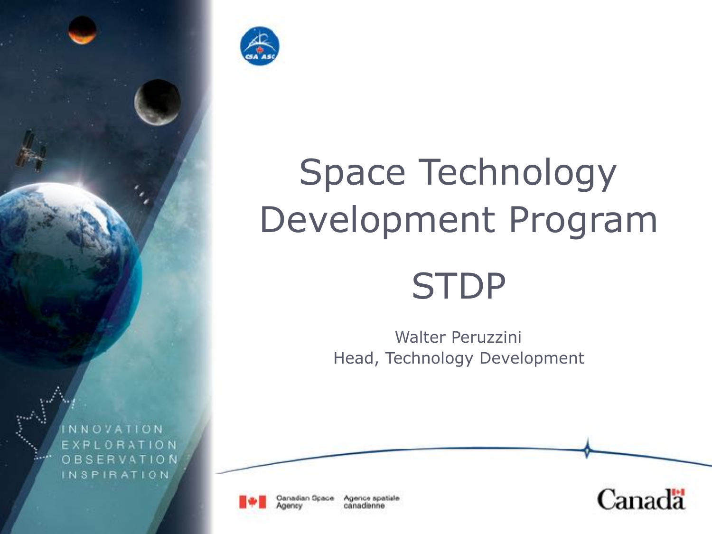



# Space Technology Development Program **STDP**

Walter Peruzzini Head, Technology Development



Canadian Space Agence spatiale canadianne

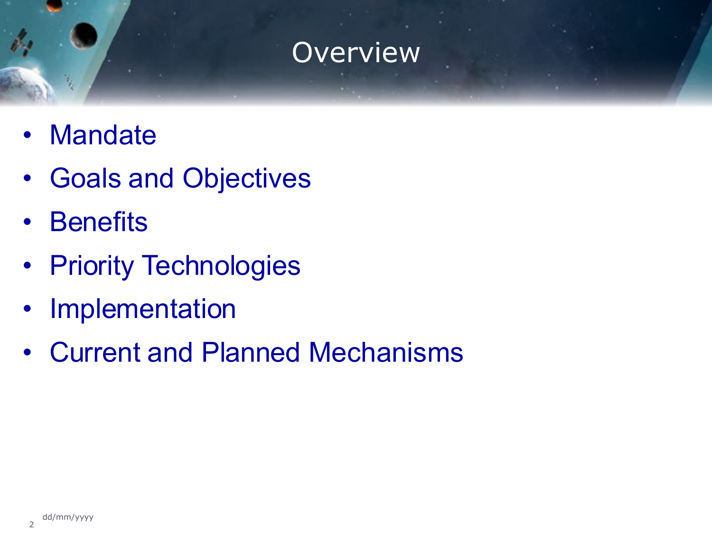#### **Overview**

- Mandate
- Goals and Objectives
- Benefits
- Priority Technologies
- Implementation
- Current and Planned Mechanisms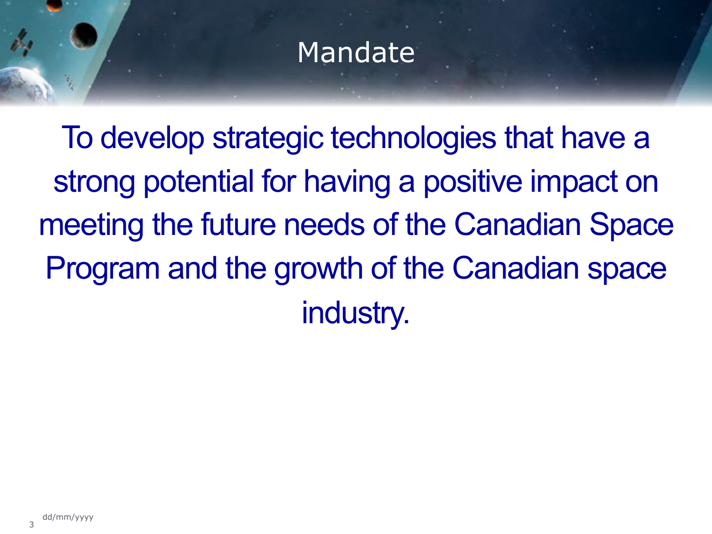#### Mandate

To develop strategic technologies that have a strong potential for having a positive impact on meeting the future needs of the Canadian Space Program and the growth of the Canadian space industry.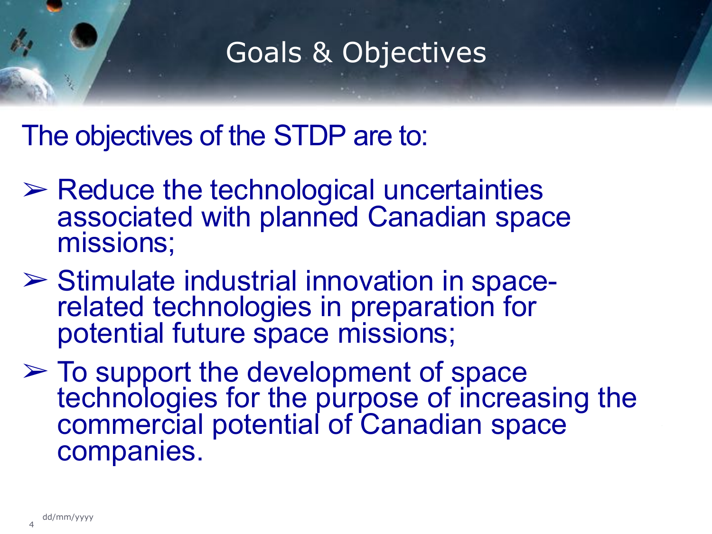### Goals & Objectives

The objectives of the STDP are to:

- ➢ Reduce the technological uncertainties associated with planned Canadian space missions;
- ➢ Stimulate industrial innovation in space- related technologies in preparation for potential future space missions;
- ➢ To support the development of space technologies for the purpose of increasing the commercial potential of Canadian space companies.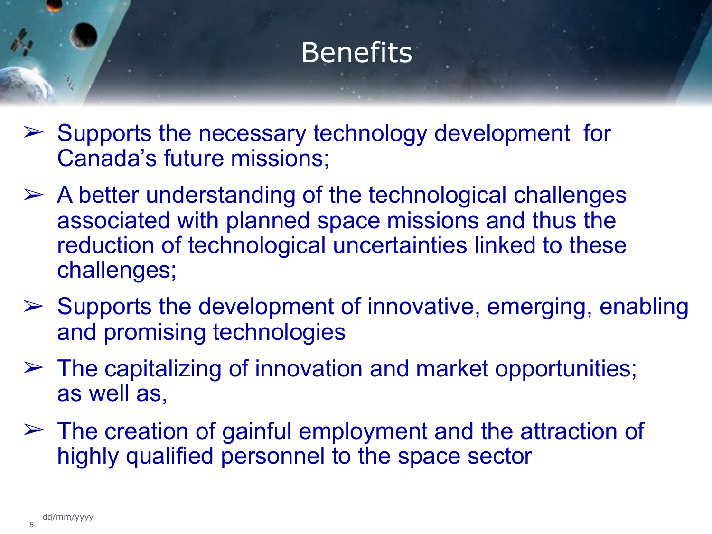## **Benefits**

- $\triangleright$  Supports the necessary technology development for Canada's future missions;
- $\triangleright$  A better understanding of the technological challenges associated with planned space missions and thus the reduction of technological uncertainties linked to these challenges;
- $\triangleright$  Supports the development of innovative, emerging, enabling and promising technologies
- $\triangleright$  The capitalizing of innovation and market opportunities; as well as,
- $\geq$  The creation of gainful employment and the attraction of highly qualified personnel to the space sector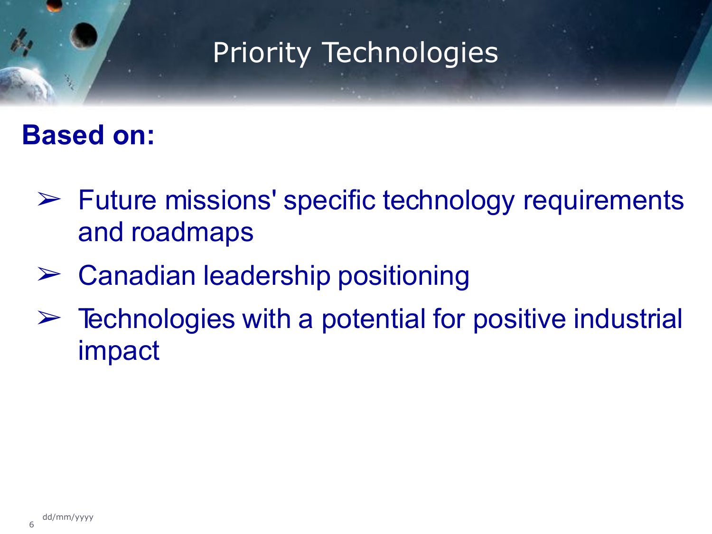# Priority Technologies

#### **Based on:**

- $\triangleright$  Future missions' specific technology requirements and roadmaps
- $\triangleright$  Canadian leadership positioning
- $\triangleright$  Technologies with a potential for positive industrial impact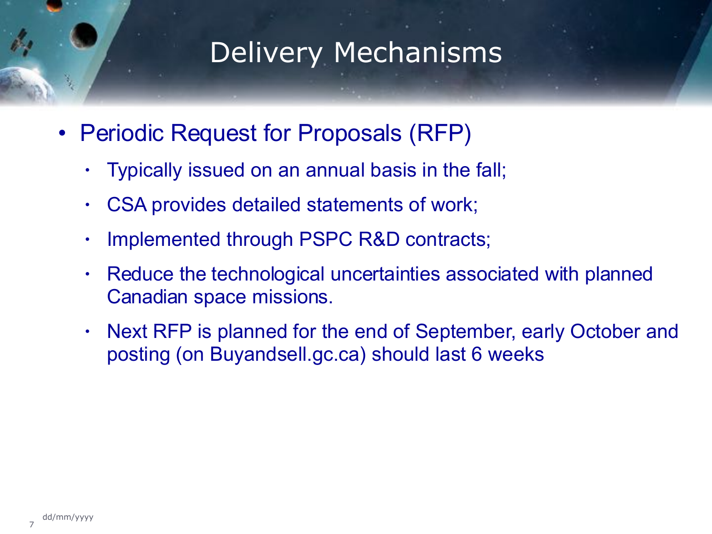#### Delivery Mechanisms

- Periodic Request for Proposals (RFP)
	- Typically issued on an annual basis in the fall;
	- CSA provides detailed statements of work;
	- Implemented through PSPC R&D contracts;
	- Reduce the technological uncertainties associated with planned Canadian space missions.
	- Next RFP is planned for the end of September, early October and posting (on Buyandsell.gc.ca) should last 6 weeks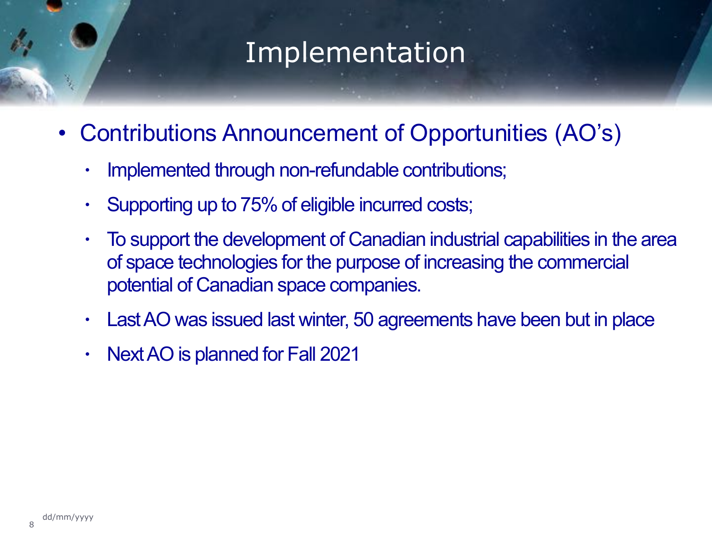#### Implementation

- Contributions Announcement of Opportunities (AO's)
	- Implemented through non-refundable contributions;
	- Supporting up to 75% of eligible incurred costs;
	- To support the development of Canadian industrial capabilities in the area of space technologies for the purpose of increasing the commercial potential of Canadian space companies.
	- Last AO was issued last winter, 50 agreements have been but in place
	- Next AO is planned for Fall 2021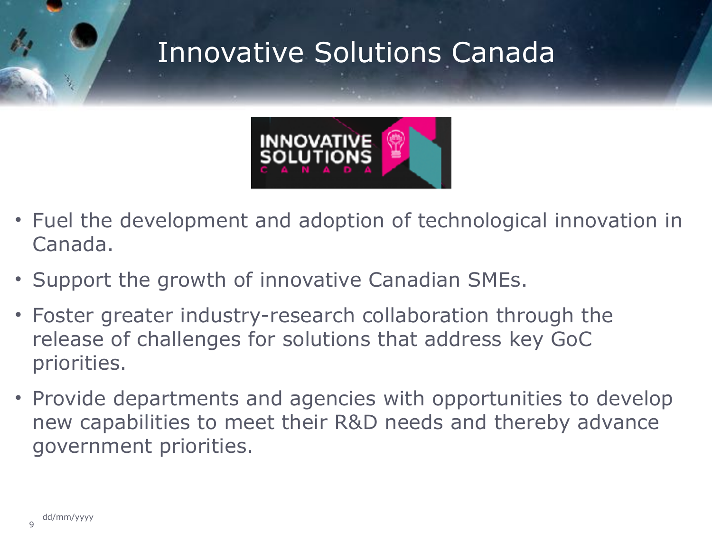## Innovative Solutions Canada



- Fuel the development and adoption of technological innovation in Canada.
- Support the growth of innovative Canadian SMEs.
- Foster greater industry-research collaboration through the release of challenges for solutions that address key GoC priorities.
- Provide departments and agencies with opportunities to develop new capabilities to meet their R&D needs and thereby advance government priorities.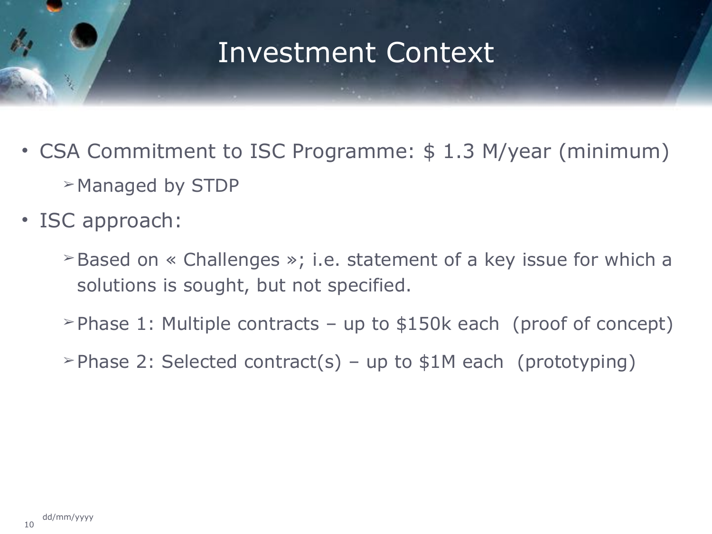#### Investment Context

- CSA Commitment to ISC Programme: \$ 1.3 M/year (minimum) ➢ Managed by STDP
- ISC approach:
	- ➢ Based on « Challenges »; i.e. statement of a key issue for which a solutions is sought, but not specified.
	- $\geq$  Phase 1: Multiple contracts up to \$150k each (proof of concept)
	- $\geq$  Phase 2: Selected contract(s) up to \$1M each (prototyping)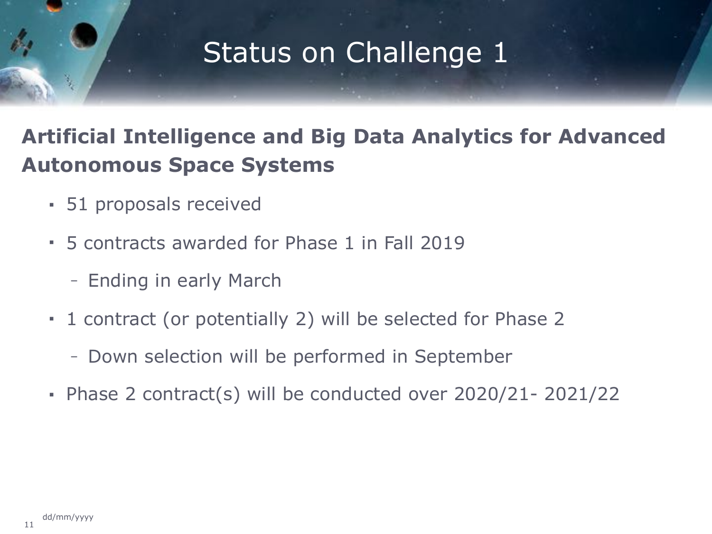# Status on Challenge 1

#### **Artificial Intelligence and Big Data Analytics for Advanced Autonomous Space Systems**

- 51 proposals received
- 5 contracts awarded for Phase 1 in Fall 2019
	- Ending in early March
- 1 contract (or potentially 2) will be selected for Phase 2
	- Down selection will be performed in September
- Phase 2 contract(s) will be conducted over 2020/21- 2021/22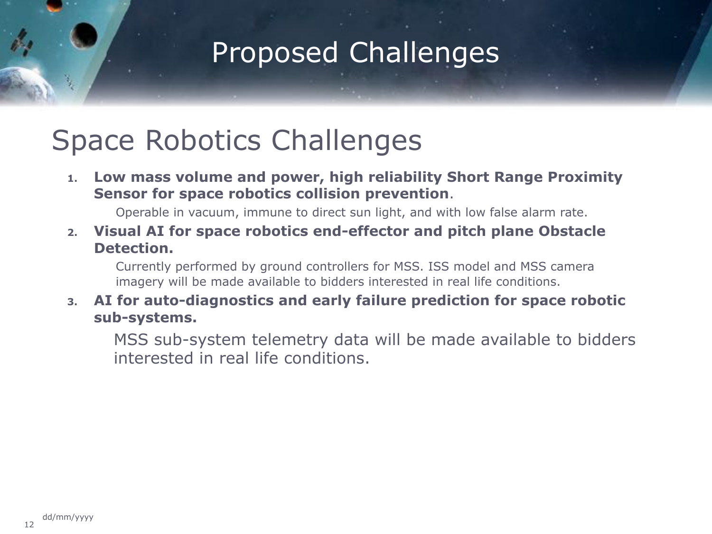#### Proposed Challenges

#### Space Robotics Challenges

**1. Low mass volume and power, high reliability Short Range Proximity Sensor for space robotics collision prevention**.

Operable in vacuum, immune to direct sun light, and with low false alarm rate.

**2. Visual AI for space robotics end-effector and pitch plane Obstacle Detection.** 

Currently performed by ground controllers for MSS. ISS model and MSS camera imagery will be made available to bidders interested in real life conditions.

#### **3. AI for auto-diagnostics and early failure prediction for space robotic sub-systems.**

MSS sub-system telemetry data will be made available to bidders interested in real life conditions.